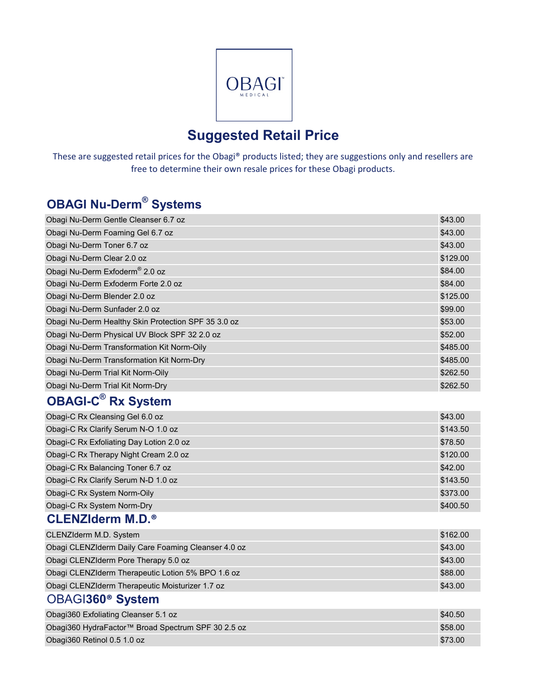

# **Suggested Retail Price**

These are suggested retail prices for the Obagi® products listed; they are suggestions only and resellers are free to determine their own resale prices for these Obagi products.

# **OBAGI Nu-Derm® Systems**

| Obagi Nu-Derm Gentle Cleanser 6.7 oz                | \$43.00  |
|-----------------------------------------------------|----------|
| Obagi Nu-Derm Foaming Gel 6.7 oz                    | \$43.00  |
| Obagi Nu-Derm Toner 6.7 oz                          | \$43.00  |
| Obagi Nu-Derm Clear 2.0 oz                          | \$129.00 |
| Obagi Nu-Derm Exfoderm <sup>®</sup> 2.0 oz          | \$84.00  |
| Obagi Nu-Derm Exfoderm Forte 2.0 oz                 | \$84.00  |
| Obagi Nu-Derm Blender 2.0 oz                        | \$125.00 |
| Obagi Nu-Derm Sunfader 2.0 oz                       | \$99.00  |
| Obagi Nu-Derm Healthy Skin Protection SPF 35 3.0 oz | \$53.00  |
| Obagi Nu-Derm Physical UV Block SPF 32 2.0 oz       | \$52.00  |
| Obagi Nu-Derm Transformation Kit Norm-Oily          | \$485.00 |
| Obagi Nu-Derm Transformation Kit Norm-Dry           | \$485.00 |
| Obagi Nu-Derm Trial Kit Norm-Oily                   | \$262.50 |
| Obagi Nu-Derm Trial Kit Norm-Dry                    | \$262.50 |
|                                                     |          |

### **OBAGI-C® Rx System**

| Obagi-C Rx Cleansing Gel 6.0 oz          | \$43.00  |
|------------------------------------------|----------|
| Obagi-C Rx Clarify Serum N-O 1.0 oz      | \$143.50 |
| Obagi-C Rx Exfoliating Day Lotion 2.0 oz | \$78.50  |
| Obagi-C Rx Therapy Night Cream 2.0 oz    | \$120.00 |
| Obagi-C Rx Balancing Toner 6.7 oz        | \$42.00  |
| Obagi-C Rx Clarify Serum N-D 1.0 oz      | \$143.50 |
| Obagi-C Rx System Norm-Oily              | \$373.00 |
| Obagi-C Rx System Norm-Dry               | \$400.50 |

#### **CLENZIderm M.D.®**

| CLENZIderm M.D. System                              | \$162.00 |
|-----------------------------------------------------|----------|
| Obagi CLENZIderm Daily Care Foaming Cleanser 4.0 oz | \$43.00  |
| Obagi CLENZIderm Pore Therapy 5.0 oz                | \$43.00  |
| Obagi CLENZIderm Therapeutic Lotion 5% BPO 1.6 oz   | \$88.00  |
| Obagi CLENZIderm Therapeutic Moisturizer 1.7 oz     | \$43.00  |

### OBAGI**360® System**

| Obagi360 Exfoliating Cleanser 5.1 oz               | \$40.50 |
|----------------------------------------------------|---------|
| Obagi360 HydraFactor™ Broad Spectrum SPF 30 2.5 oz | \$58.00 |
| Obagi360 Retinol 0.5 1.0 oz                        | \$73.00 |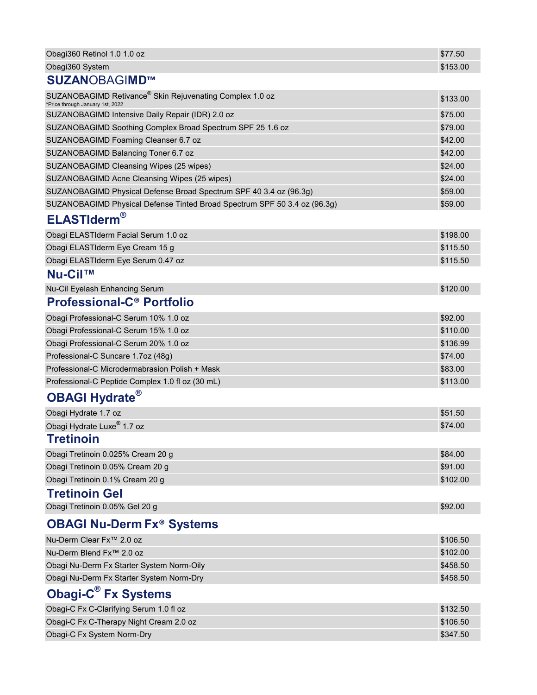| Obagi360 Retinol 1.0 1.0 oz                                                                  | \$77.50  |
|----------------------------------------------------------------------------------------------|----------|
| Obagi360 System                                                                              | \$153.00 |
| <b>SUZANOBAGIMD™</b>                                                                         |          |
| SUZANOBAGIMD Retivance® Skin Rejuvenating Complex 1.0 oz<br>*Price through January 1st, 2022 | \$133.00 |
| SUZANOBAGIMD Intensive Daily Repair (IDR) 2.0 oz                                             | \$75.00  |
| SUZANOBAGIMD Soothing Complex Broad Spectrum SPF 25 1.6 oz                                   | \$79.00  |
| SUZANOBAGIMD Foaming Cleanser 6.7 oz                                                         | \$42.00  |
| SUZANOBAGIMD Balancing Toner 6.7 oz                                                          | \$42.00  |
| SUZANOBAGIMD Cleansing Wipes (25 wipes)                                                      | \$24.00  |
| SUZANOBAGIMD Acne Cleansing Wipes (25 wipes)                                                 | \$24.00  |
| SUZANOBAGIMD Physical Defense Broad Spectrum SPF 40 3.4 oz (96.3g)                           | \$59.00  |
| SUZANOBAGIMD Physical Defense Tinted Broad Spectrum SPF 50 3.4 oz (96.3g)                    | \$59.00  |
| <b>ELASTIderm®</b>                                                                           |          |
| Obagi ELASTIderm Facial Serum 1.0 oz                                                         | \$198.00 |
| Obagi ELASTIderm Eye Cream 15 g                                                              | \$115.50 |
| Obagi ELASTIderm Eye Serum 0.47 oz                                                           | \$115.50 |
| Nu-Cil™                                                                                      |          |
| Nu-Cil Eyelash Enhancing Serum                                                               | \$120.00 |
| <b>Professional-C<sup>®</sup> Portfolio</b>                                                  |          |
| Obagi Professional-C Serum 10% 1.0 oz                                                        | \$92.00  |
| Obagi Professional-C Serum 15% 1.0 oz                                                        | \$110.00 |
| Obagi Professional-C Serum 20% 1.0 oz                                                        | \$136.99 |
| Professional-C Suncare 1.7oz (48g)                                                           | \$74.00  |
| Professional-C Microdermabrasion Polish + Mask                                               | \$83.00  |
| Professional-C Peptide Complex 1.0 fl oz (30 mL)                                             | \$113.00 |
| <b>OBAGI Hydrate®</b>                                                                        |          |
| Obagi Hydrate 1.7 oz                                                                         | \$51.50  |
| Obagi Hydrate Luxe <sup>®</sup> 1.7 oz                                                       | \$74.00  |
| <b>Tretinoin</b>                                                                             |          |
| Obagi Tretinoin 0.025% Cream 20 g                                                            | \$84.00  |
| Obagi Tretinoin 0.05% Cream 20 g                                                             | \$91.00  |
| Obagi Tretinoin 0.1% Cream 20 g                                                              | \$102.00 |
| <b>Tretinoin Gel</b>                                                                         |          |
| Obagi Tretinoin 0.05% Gel 20 g                                                               | \$92.00  |
| <b>OBAGI Nu-Derm Fx<sup>®</sup> Systems</b>                                                  |          |
| Nu-Derm Clear Fx <sup>™</sup> 2.0 oz                                                         | \$106.50 |
| Nu-Derm Blend Fx <sup>™</sup> 2.0 oz                                                         | \$102.00 |
| Obagi Nu-Derm Fx Starter System Norm-Oily                                                    | \$458.50 |
| Obagi Nu-Derm Fx Starter System Norm-Dry                                                     | \$458.50 |
| Obagi-C <sup>®</sup> Fx Systems                                                              |          |
| Obagi-C Fx C-Clarifying Serum 1.0 fl oz                                                      | \$132.50 |
| Obagi-C Fx C-Therapy Night Cream 2.0 oz                                                      | \$106.50 |

Obagi-C Fx System Norm-Dry **\$347.50** Change of the Control of the Control of the Control of the Control of the Control of the Control of the Control of the Control of the Control of the Control of the Control of the Contro